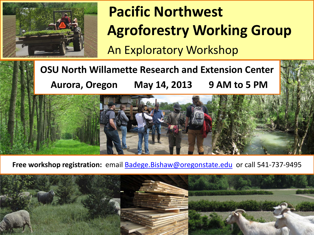

# **Pacific Northwest Agroforestry Working Group** An Exploratory Workshop

**OSU North Willamette Research and Extension Center Aurora, Oregon May 14, 2013 9 AM to 5 PM**

Free workshop registration: email **[Badege.Bishaw@oregonstate.edu](mailto:Badege.Bishaw@oregonstate.edu)** or call 541-737-9495